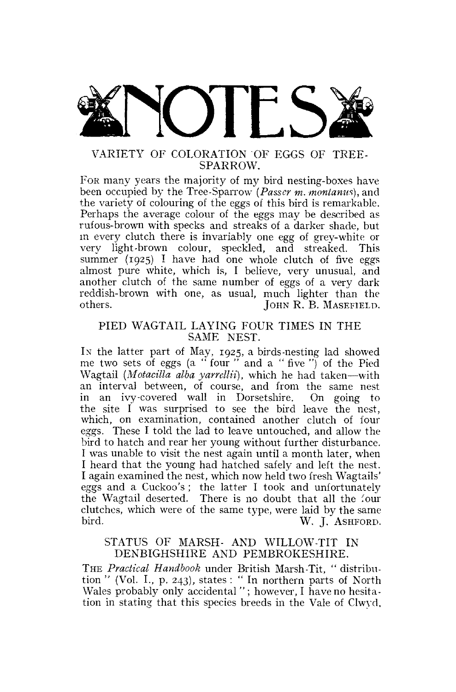

# SPARROW.

FOR many years the majority of my bird nesting-boxes have been occupied by the Tree-Sparrow *(Passer m. montanus),* and the variety of colouring of the eggs of this bird is remarkable. Perhaps the average colour of the eggs may be described as rufous-brown with specks and streaks of a darker shade, but in every clutch there is invariably one egg of grey-white or very light-brown colour, speckled, and streaked. This summer  $(1925)$  I have had one whole clutch of five eggs almost pure white, which is, I believe, very unusual, and another clutch of the same number of eggs of a very dark reddish-brown with one, as usual, much lighter than the others. JOHN R. B. MASEFIELD.

## PIED WAGTAIL LAYING FOUR TIMES IN THE SAME NEST.

IN the latter part of May, 1925, a birds-nesting lad showed me two sets of eggs (a " four " and a " five ") of the Pied Wagtail *(Motacilla alba yarrellii),* which he had taken—with an interval between, of course, and from the same nest in an ivy-covered wall in Dorsetshire. On going to the site I was surprised to see the bird leave the nest, which, on examination, contained another clutch of four eggs. These I told the lad to leave untouched, and allow the bird to hatch and rear her young without further disturbance. I was unable to visit the nest again until a month later, when I heard that the young had hatched safely and left the nest. I again examined the nest, which now held two fresh Wagtails' eggs and a Cuckoo's ; the latter I took and unfortunately the Wagtail deserted. There is no doubt that all the four clutches, which were of the same type, were laid by the same bird. W. J. ASHFORD.

# STATUS OF MARSH- AND WILLOW-TIT IN DENBIGHSHIRE AND PEMBROKESHIRE.

THE *Practical Handbook* under British Marsh-Tit, " distribution " (Vol. L, p. 243), states : " In northern parts of North Wales probably only accidental "; however, I have no hesitation in stating that this species breeds in the Vale of Clwyd,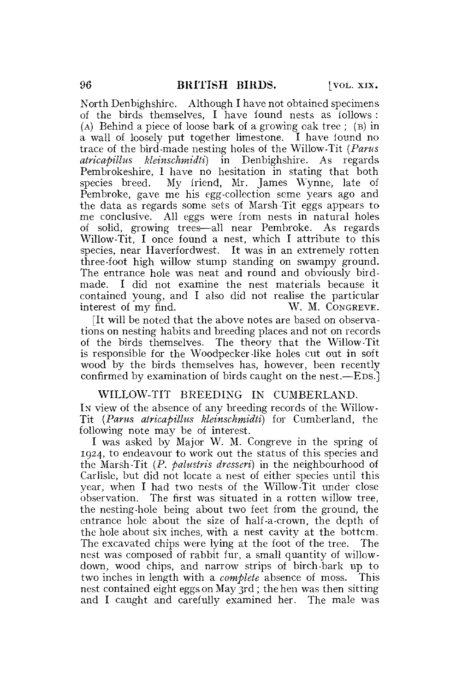North Denbighshire. Although I have not obtained specimens of the birds themselves, I have found nests as follows : (A) Behind a piece of loose bark of a growing oak tree ; (B) in a wall of loosely put together limestone. I have found no trace of the bird-made nesting holes of the Willow-Tit *{Pants atricapillus kleinschmidti)* in Denbighshire. As regards Pembrokeshire. I have no hesitation in stating that both species breed. My friend, Mr. James Wynne, late of Pembroke, gave me his egg-collection seme years ago and the data as regards some sets of Marsh-Tit eggs appears to me conclusive. All eggs were from nests in natural holes of solid, growing trees—all near Pembroke. As regards Willow-Tit, I once found a nest, which I attribute to this species, near Haverfordwest. It was in an extremely rotten three-foot high willow stump standing on swampy ground. The entrance hole was neat and round and obviously birdmade. I did not examine the nest materials because it contained young, and I also did not realise the particular interest of my find. W. M. CONGREVE.

[It will be noted that the above notes are based on observations on nesting habits and breeding places and not on records of the birds themselves. The theory that the Willow-Tit is responsible for the Woodpecker-like holes cut out in soft wood by the birds themselves has, however, been recently confirmed by examination of birds caught on the nest.—EDS.]

# WILLOW-TIT BREEDING IN CUMBERLAND.

IN view of the absence of any breeding records of the Willow-Tit *{Pants atricapillus kleinschmidti)* for Cumberland, the following note may be of interest.

I was asked by Major W. M. Congreve in the spring of 1924, to endeavour to work out the status of this species and the Marsh-Tit (P. *palustris dresseri)* in the neighbourhood of Carlisle, but did not locate a nest of either species until this year, when I had two nests of the Willow-Tit under close observation. The first was situated in a rotten willow tree, the nesting-hole being about two feet from the ground, the entrance hole about the size of half-a-crown, the depth of the hole about six inches, with a nest cavity at the bottom. The excavated chips were lying at the foot of the tree. The nest was composed of rabbit fur, a small quantity of willowdown, wood chips, and narrow strips of birch-bark up to two inches in length with a *complete* absence of moss. This nest contained eight eggs on May 3rd ; the hen was then sitting and I caught and carefully examined her. The male was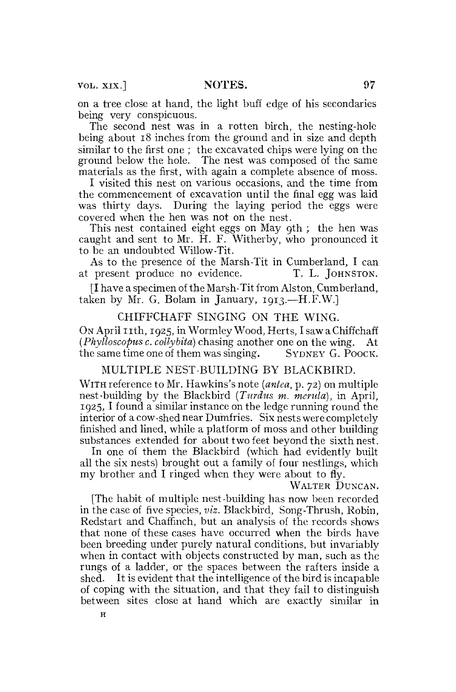VOL. XIX.] NOTES. 97

on a tree close at hand, the light buff edge of his secondaries being very conspicuous.

The second nest was in a rotten birch, the nesting-hole being about 18 inches from the ground and in size and depth similar to the first one ; the excavated chips were lying on the ground below the hole. The nest was composed of the same materials as the first, with again a complete absence of moss.

I visited this nest on various occasions, and the time from the commencement of excavation until the final egg was laid was thirty days. During the laying period the eggs were covered when the hen was not on the nest.

This nest contained eight eggs on May 9th ; the hen was caught and sent to Mr. H. F. Witherby, who pronounced it to be an undoubted Willow-Tit.

As to the presence of the Marsh-Tit in Cumberland, I can at present produce no evidence. T. L. JOHNSTON.

f I have a specimen of the Marsh-Tit from Alston, Cumberland, taken by Mr. G. Bolam in January, 1913.—H.F.W.]

#### CHIFFCHAFF SINGING ON THE WING.

ON April 11th, 1925, in Wormley Wood, Herts, I saw a Chiffchaff *(Pkylloscopus c. collybita)* chasing another one on the wing. At the same time one of them was singing. SYDNEY G. POOCK.

## MULTIPLE NEST-BUILDING BY BLACKBIRD.

WITH reference to Mr. Hawkins's note *(antea,* p. 72) on multiple nest-building by the Blackbird *(Turdus m. metula),* in April, 1925,1 found a similar instance on the ledge running round the interior of a cow -shed near Dumfries. Six nests were completely finished and lined, while a platform of moss and other building substances extended for about two feet beyond the sixth nest.

In one of them the Blackbird (which had evidently built all the six nests) brought out a family of four nestlings, which my brother and I ringed when they were about to fly.

WALTER DUNCAN.

[The habit of multiple nest-building has now been recorded in the case of five species, *viz.* Blackbird, Song-Thrush, Robin, Redstart and Chaffinch, but an analysis of the records shows that none of these cases have occurred when the birds have been breeding under purely natural conditions, but invariably when in contact with objects constructed by man, such as the rungs of a ladder, or the spaces between the rafters inside a shed. It is evident that the intelligence of the bird is incapable of coping with the situation, and that they fail to distinguish between sites close at hand which are exactly similar in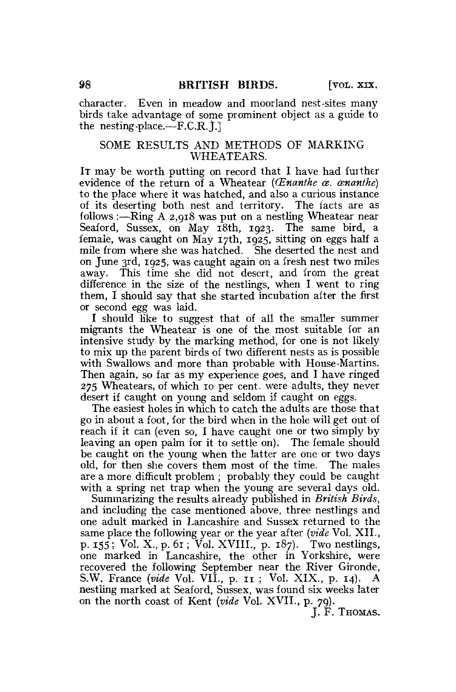character. Even in meadow and moorland nest-sites many birds take advantage of some prominent object as a guide to the nesting-place.—F.C.R.  $[1]$ .]

## SOME RESULTS AND METHODS OF MARKING WHEATEARS.

IT may be worth putting on record that I have had further evidence of the return of a Wheatear *{(Enanthe ce. cenanihe)*  to the place where it was hatched, and also a curious instance of its deserting both nest and territory. The facts are as follows :—Ring A 2,918 was put on a nestling Wheatear near Seaford, Sussex, on May 18th, 1923. The same bird, a female, was caught on May 17th, 1925, sitting on eggs half a mile from where she was hatched. She deserted the nest and on June 3rd, 1925, was caught again on a fresh nest two miles away. This time she did not desert, and from the great difference in the size of the nestlings, when I went to ring them, I should say that she started incubation after the first or second egg was laid.

I should like to suggest that of all the smaller summer migrants the Wheatear is one of the most suitable for an intensive study by the marking method, for one is not likely to mix up the parent birds of two different nests as is possible with Swallows and more than probable with House-Martins. Then again, so far as my experience goes, and I have ringed 275 Wheatears, of which 10 per cent, were adults, they never desert if caught on young and seldom if caught on eggs.

The easiest holes in which to catch the adults are those that go in about a foot, for the bird when in the hole will get out of reach if it can (even so, I have caught one or two simply by leaving an open palm for it to settle on). The female should be caught on the young when the latter are one or two days old, for then she covers them most of the time. The males are a more difficult problem ; probably they could be caught with a spring net trap when the young are several days old.

Summarizing the results already published in *British Birds,*  and including the case mentioned above, three nestlings and one adult marked in Lancashire and Sussex returned to the same place the following year or the year after *{vide* Vol. XII., p. 155; Vol. X., p. 61; Vol. XVIIL, p. 187). Two nestlings, one marked in Lancashire, the other in Yorkshire, were recovered the following September near the River Gironde, S.W. France *{vide* Vol. VII., p. 11 ; Vol. XIX., p. 14). A nestling marked at Seaford, Sussex, was found six weeks later on the north coast of Kent *{vide* Vol. XVII., p. 79).

J. F. THOMAS.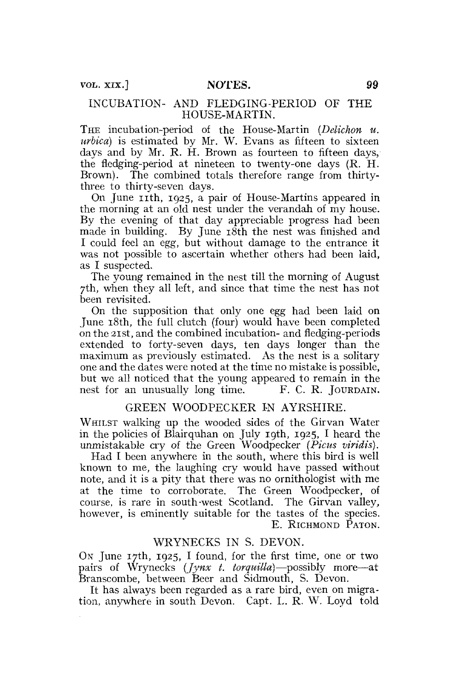## INCUBATION- AND FLEDGING-PERIOD OF THE HOUSE-MARTIN.

THE incubation-period of the House-Martin *(Delichon u. urbica)* is estimated by Mr. W. Evans as fifteen to sixteen days and by Mr. R. H. Brown as fourteen to fifteen days, the fledging-period at nineteen to twenty-one days  $(R, H, I)$ . Brown). The combined totals therefore range from thirtythree to thirty-seven days.

On June 11th, 1925, a pair of House-Martins appeared in the morning at an old nest under the verandah of my house. By the evening of that day appreciable progress had been made in building. By June 18th the nest was finished and I could feel an egg, but without damage to the entrance it was not possible to ascertain whether others had been laid, as I suspected.

The young remained in the nest till the morning of August 7th, when they all left, and since that time the nest has not been revisited.

On the supposition that only one egg had been laid on June 18th, the full clutch (four) would have been completed on the 21st, and the combined incubation- and fledging-periods extended to forty-seven days, ten days longer than the maximum as previously estimated. As the nest is a solitary one and the dates were noted at the time no mistake is possible, but we all noticed that the young appeared to remain in the nest for an unusually long time. F. C. R. JOURDAIN.

# GREEN WOODPECKER IN AYRSHIRE.

WHILST walking up the wooded sides of the Girvan Water in the policies of Blair quhan on July 19th, 1925, I heard the unmistakable cry of the Green Woodpecker *(Picus viridis).* 

Had I been anywhere in the south, where this bird is well known to me, the laughing cry would have passed without note, and it is a pity that there was no ornithologist with me at the time to corroborate. The Green Woodpecker, of course, is rare in south-west Scotland. The Girvan valley, however, is eminently suitable for the tastes of the species. E. RICHMOND PATON.

#### WRYNECKS IN S. DEVON.

ON June 17th, 1925, I found, for the first time, one or two pairs of Wrynecks *(Jynx t. torquilla)*—possibly more—at Branscombe, between Beer and Sidmouth, S. Devon.

It has always been regarded as a rare bird, even on migration, anywhere in south Devon. Capt. L. R. W. Loyd told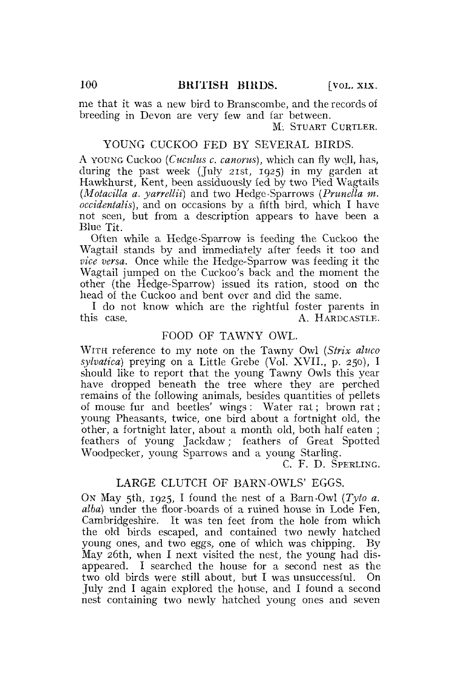me that it was a new bird to Branscombe, and the records of breeding in Devon are very few and far between.

M. STUART CURTLER.

# YOUNG CUCKOO FED BY SEVERAL BIRDS.

A YOUNG Cuckoo *(Cuculus c. canorus)*, which can fly well, has, during the past week (July 21st, 1925) in my garden at Hawkhurst, Kent, been assiduously fed by two Pied Wagtails *(Motacilla a. yarrellii)* and two Hedge-Sparrows *(Prunella m. occidentalis),* and on occasions by a fifth bird, which I have not seen, but from a description appears to have been a Blue Tit.

Often while a Hedge-Sparrow is feeding the Cuckoo the Wagtail stands by and immediately after feeds it too and *vice versa.* Once while the Hedge-Sparrow was feeding it the Wagtail jumped on the Cuckoo's back and the moment the other (the Hedge-Sparrow) issued its ration, stood on the head of the Cuckoo and bent over and did the same.

I do not know which are the rightful foster parents in A. HARDCASTLE.

# FOOD OF TAWNY OWL.

WITH reference to my note on the Tawny Owl *(Sirix ahtco sylvatica)* preying on a Little Grebe (Vol. XVII., p. 250), I should like to report that the young Tawny Owls this year have dropped beneath the tree where they are perched remains of the following animals, besides quantities of pellets of mouse fur and beetles' wings : Water rat; brown rat; young Pheasants, twice, one bird about a fortnight old, the other, a fortnight later, about a month old, both half eaten ; feathers of young Jackdaw; feathers of Great Spotted Woodpecker, young Sparrows and a young Starling.

C. F. D. SPERLING.

## LARGE CLUTCH OF BARN-OWLS' EGGS.

ON May 5th, 1925, I found the nest of a Barn-Owl *(Tyio a. alba)* under the floor-boards of a ruined house in Lode Fen, Cambridgeshire. It was ten feet from the hole from which the old birds escaped, and contained two newly hatched young ones, and two eggs, one of which was chipping. By May 26th, when I next visited the nest, the young had disappeared. I searched the house for a second nest as the two old birds were still about, but I was unsuccessful. On July 2nd I again explored the house, and I found a second nest containing two newly hatched young ones and seven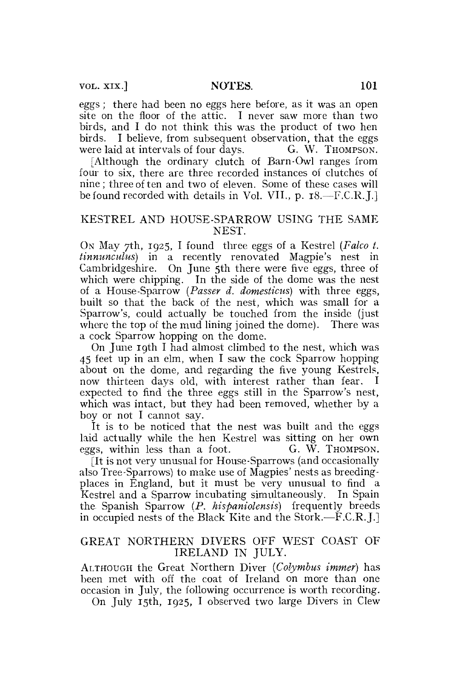eggs ; there had been no eggs here before, as it was an open site on the floor of the attic. I never saw more than two birds, and I do not think this was the product of two hen birds. I believe, from subsequent observation, that the eggs were laid at intervals of four days. G. W. Thompson. were laid at intervals of four days.

[Although the ordinary clutch of Barn-Owl ranges from four to six, there are three recorded instances of clutches of nine; three of ten and two of eleven. Some of these cases will be found recorded with details in Vol. VII., p. 18.—F.C.R.J.]

## KESTREL AND HOUSE-SPARROW USING THE SAME NEST.

ON May 7th, 1925, I found three eggs of a Kestrel *(Falco t. tinnunculus)* in a recently renovated Magpie's nest in Cambridgeshire. On June 5th there were five eggs, three of which were chipping. In the side of the dome was the nest of a House-Sparrow *(Passer d. domesticus)* with three eggs, built so that the back of the nest, which was small for a Sparrow's, could actually be touched from the inside (just where the top of the mud lining joined the dome). There was a cock Sparrow hopping on the dome.

On June 19th I had almost climbed to the nest, which was 45 feet up in an elm, when I saw the cock Sparrow hopping about on the dome, and regarding the five young Kestrels, now thirteen days old, with interest rather than fear. I expected to find the three eggs still in the Sparrow's nest, which was intact, but they had been removed, whether by a boy or not I cannot say.

It is to be noticed that the nest was built and the eggs laid actually while the hen Kestrel was sitting on her own eggs, within less than a foot. G. W. Thompson.

[It is not very unusual for House-Sparrows (and occasionally also Tree-Sparrows) to make use of Magpies' nests as breedingplaces in England, but it must be very unusual to find a Kestrel and a Sparrow incubating simultaneously. In Spain the. Spanish Sparrow *(P. hispaniolensts)* frequently breeds in occupied nests of the Black Kite and the Stork.—F.C.R. J.]

# GREAT NORTHERN DIVERS OFF WEST COAST OF IRELAND IN JULY.

ALTHOUGH the Great Northern Diver *(Colymbus immer)* has been met with off the coat of Ireland on more than one occasion in July, the following occurrence is worth recording. On July 15th, 1925, I observed two large Divers in Clew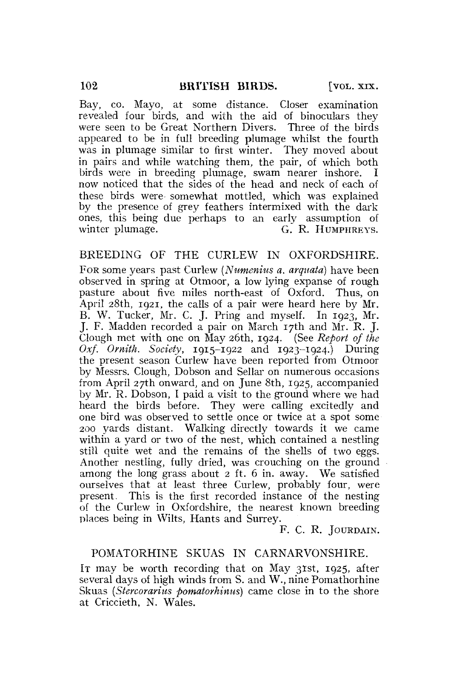Bay, co. Mayo, at some distance. Closer examination revealed four birds, and with the aid of binoculars they were seen to be Great Northern Divers. Three of the birds appeared to be in full breeding plumage whilst the fourth was in plumage similar to first winter. They moved about in pairs and while watching them, the pair, of which both birds were in breeding plumage, swam nearer inshore. I now noticed that the sides of the head and neck of each of these birds were somewhat mottled, which was explained by the presence of grey feathers intermixed with the dark ones, this being due perhaps to an early assumption of winter plumage.  $\qquad \qquad G.$  R. HUMPHREYS.

# BREEDING OF THE CURLEW IN OXFORDSHIRE.

FOR some years past Curlew *{Numenius a. arqnata)* have been observed in spring at Otmoor, a low lying expanse of rough pasture about five miles north-east of Oxford. Thus, on April 28th, 1921, the calls of a pair were heard here by Mr. B. W. Tucker, Mr. C. J. Pring and myself. In 1923, Mr. J. F. Madden recorded a pair on March 17th and Mr. R. J. Clough met with one on May 26th, 1924. (See *Report of the Oxf. Ornith. Society,* 1915-1922 and 1923-1924.) During the present season Curlew have been reported from Otmoor by Messrs. Clough, Dobson and Sellar on numerous occasions from April 27th onward, and on June 8th, 1925, accompanied by Mr. R. Dobson, I paid a visit to the ground where we had heard the birds before. They were calling excitedly and one bird was observed to settle once or twice at a spot some 200 yards distant. Walking directly towards it we came within a yard or two of the nest, which contained a nestling still quite wet and the remains of the shells of two eggs. Another nestling, fully dried, was crouching on the ground among the long grass about 2 ft. 6 in. away. We satisfied ourselves that at least three Curlew, probably four, were present. This is the first recorded instance of the nesting of the Curlew in Oxfordshire, the nearest known breeding places being in Wilts, Hants and Surrey.

F. C. R. JOURDAIN.

# POMATORHINE SKUAS IN CARNARVONSHIRE.

IT may be worth recording that on May 31st, 1925, after several days of high winds from S. and W., nine Pomathorhine Skuas *(Stercorarius pomatorhinus)* came close in to the shore at Criccieth, N. Wales.